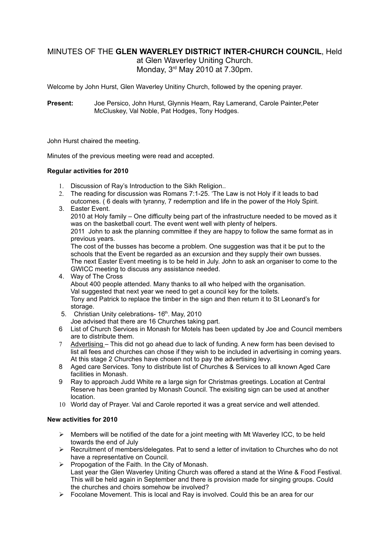# MINUTES OF THE **GLEN WAVERLEY DISTRICT INTER-CHURCH COUNCIL**, Held

at Glen Waverley Uniting Church. Monday, 3rd May 2010 at 7.30pm.

Welcome by John Hurst, Glen Waverley Unitiny Church, followed by the opening prayer.

**Present:** Joe Persico, John Hurst, Glynnis Hearn, Ray Lamerand, Carole Painter,Peter McCluskey, Val Noble, Pat Hodges, Tony Hodges.

John Hurst chaired the meeting.

Minutes of the previous meeting were read and accepted.

### **Regular activities for 2010**

- 1. Discussion of Ray's Introduction to the Sikh Religion..
- 2. The reading for discussion was Romans 7:1-25. 'The Law is not Holy if it leads to bad outcomes. ( 6 deals with tyranny, 7 redemption and life in the power of the Holy Spirit.
- 3. Easter Event.

2010 at Holy family – One difficulty being part of the infrastructure needed to be moved as it was on the basketball court. The event went well with plenty of helpers.

2011 John to ask the planning committee if they are happy to follow the same format as in previous years.

The cost of the busses has become a problem. One suggestion was that it be put to the schools that the Event be regarded as an excursion and they supply their own busses. The next Easter Event meeting is to be held in July. John to ask an organiser to come to the GWICC meeting to discuss any assistance needed.

- 4. Way of The Cross About 400 people attended. Many thanks to all who helped with the organisation. Val suggested that next year we need to get a council key for the toilets. Tony and Patrick to replace the timber in the sign and then return it to St Leonard's for storage.
- 5. Christian Unity celebrations- 16th. May, 2010 Joe advised that there are 16 Churches taking part.
- 6 List of Church Services in Monash for Motels has been updated by Joe and Council members are to distribute them.
- 7 Advertising This did not go ahead due to lack of funding. A new form has been devised to list all fees and churches can chose if they wish to be included in advertising in coming years. At this stage 2 Churches have chosen not to pay the advertising levy.
- 8 Aged care Services. Tony to distribute list of Churches & Services to all known Aged Care facilities in Monash.
- 9 Ray to approach Judd White re a large sign for Christmas greetings. Location at Central Reserve has been granted by Monash Council. The exisiting sign can be used at another location.
- 10 World day of Prayer. Val and Carole reported it was a great service and well attended.

#### **New activities for 2010**

- $\triangleright$  Members will be notified of the date for a joint meeting with Mt Waverley ICC, to be held towards the end of July
- Recruitment of members/delegates. Pat to send a letter of invitation to Churches who do not have a representative on Council.
- $\triangleright$  Propogation of the Faith. In the City of Monash. Last year the Glen Waverley Uniting Church was offered a stand at the Wine & Food Festival. This will be held again in September and there is provision made for singing groups. Could the churches and choirs somehow be involved?
- $\triangleright$  Focolane Movement. This is local and Ray is involved. Could this be an area for our